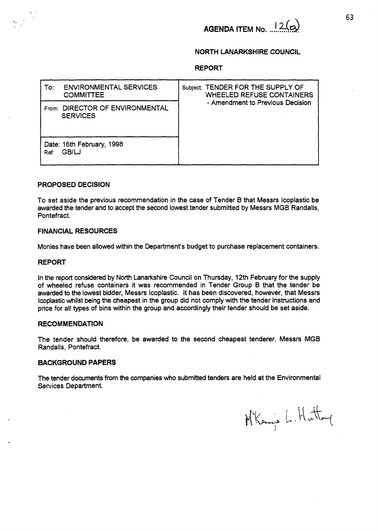# **AGENDA ITEM No.**  $12(a)$

# **NORTH LANARKSHIRE COUNCIL**

### **REPORT**

| <b>ENVIRONMENTAL SERVICES</b><br>To:<br><b>COMMITTEE</b> | Subject: TENDER FOR THE SUPPLY OF<br><b>WHEELED REFUSE CONTAINERS</b><br>- Amendment to Previous Decision |
|----------------------------------------------------------|-----------------------------------------------------------------------------------------------------------|
| From: DIRECTOR OF ENVIRONMENTAL<br><b>SERVICES</b>       |                                                                                                           |
| Date: 16th February, 1998<br>GB/LJ<br>Ref:               |                                                                                                           |

#### **PROPOSED DECISION**

To set aside the previous recommendation in the case of Tender **B** that Messrs lcoplastic be awarded the tender and to accept the **second** lowest tender submitted by Messrs MGB Randalls, Pontefract.

# **FINANCIAL RESOURCES**

Monies have been allowed within the Department's budget to purchase replacement containers.

## **REPORT**

 $\cdot$ 

-..

In the report considered by North Lanarkshire Council on Thursday, 12th February for the supply of wheeled refuse containers it was recommended in Tender Group **B** that the tender be awarded to the lowest bidder, **Messrs** Icoplastic. It has been discovered, however, that Messrs lcoplastic whilst being the cheapest in the group did not comply with the tender instructions and price for all types of bins within the group and accordingly their tender should be set aside.

## **RECOMMENDATION**

The tender should therefore, be awarded to the second cheapest tenderer, Messrs **MGB**  Randalls, Pontefract.

#### **BACKGROUND PAPERS**

The tender documents from the companies who submitted tenders are held at the Environmental Services Department.

Mkenis L. Hutton